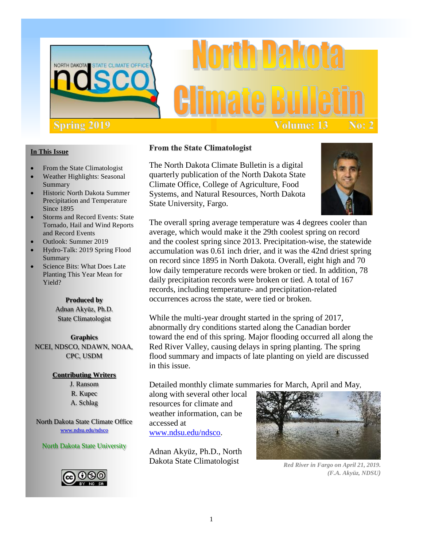

# **Volume: 13** No: 2

#### **In This Issue**

- From the State Climatologist
- Weather Highlights: Seasonal Summary
- Historic North Dakota Summer Precipitation and Temperature Since 1895
- Storms and Record Events: State Tornado, Hail and Wind Reports and Record Events
- Outlook: Summer 2019
- Hydro-Talk: 2019 Spring Flood Summary
- Science Bits: What Does Late Planting This Year Mean for Yield?

#### **Produced by**

Adnan Akyüz, Ph.D. State Climatologist

**Graphics**  NCEI, NDSCO, NDAWN, NOAA, CPC, USDM

#### **Contributing Writers**

J. Ransom R. Kupec A. Schlag

North Dakota State Climate Office [www.ndsu.edu/ndsco](http://www.ndsu.edu/ndsco)

#### North Dakota State University



#### **From the State Climatologist**

The North Dakota Climate Bulletin is a digital quarterly publication of the North Dakota State Climate Office, College of Agriculture, Food Systems, and Natural Resources, North Dakota State University, Fargo.



The overall spring average temperature was 4 degrees cooler than average, which would make it the 29th coolest spring on record and the coolest spring since 2013. Precipitation-wise, the statewide accumulation was 0.61 inch drier, and it was the 42nd driest spring on record since 1895 in North Dakota. Overall, eight high and 70 low daily temperature records were broken or tied. In addition, 78 daily precipitation records were broken or tied. A total of 167 records, including temperature- and precipitation-related occurrences across the state, were tied or broken.

While the multi-year drought started in the spring of 2017, abnormally dry conditions started along the Canadian border toward the end of this spring. Major flooding occurred all along the Red River Valley, causing delays in spring planting. The spring flood summary and impacts of late planting on yield are discussed in this issue.

Detailed monthly climate summaries for March, April and May,

along with several other local resources for climate and weather information, can be accessed at www.ndsu.edu/ndsco.

Adnan Akyüz, Ph.D., North Dakota State Climatologist



*Red River in Fargo on April 21, 2019. (F.A. Akyüz, NDSU)*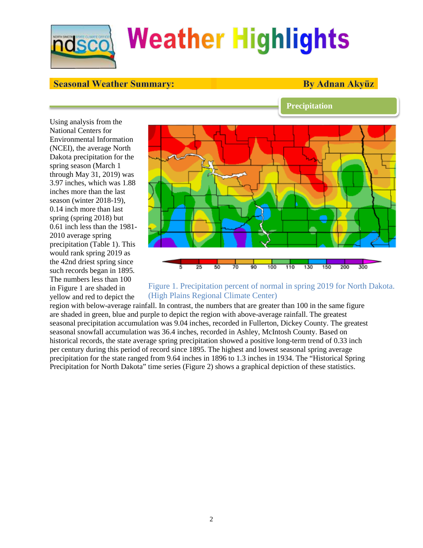

#### **Seasonal Weather Summary:**

#### **By Adnan Akvüz**

**Precipitation**

Using analysis from the National Centers for Environmental Information (NCEI), the average North Dakota precipitation for the spring season (March 1 through May 31, 2019) was 3.97 inches, which was 1.88 inches more than the last season (winter 2018-19), 0.14 inch more than last spring (spring 2018) but 0.61 inch less than the 1981- 2010 average spring precipitation (Table 1). This would rank spring 2019 as the 42nd driest spring since such records began in 1895. The numbers less than 100 in Figure 1 are shaded in yellow and red to depict the



#### Figure 1. Precipitation percent of normal in spring 2019 for North Dakota. (High Plains Regional Climate Center)

region with below-average rainfall. In contrast, the numbers that are greater than 100 in the same figure are shaded in green, blue and purple to depict the region with above-average rainfall. The greatest seasonal precipitation accumulation was 9.04 inches, recorded in Fullerton, Dickey County. The greatest seasonal snowfall accumulation was 36.4 inches, recorded in Ashley, McIntosh County. Based on historical records, the state average spring precipitation showed a positive long-term trend of 0.33 inch per century during this period of record since 1895. The highest and lowest seasonal spring average precipitation for the state ranged from 9.64 inches in 1896 to 1.3 inches in 1934. The "Historical Spring Precipitation for North Dakota" time series (Figure 2) shows a graphical depiction of these statistics.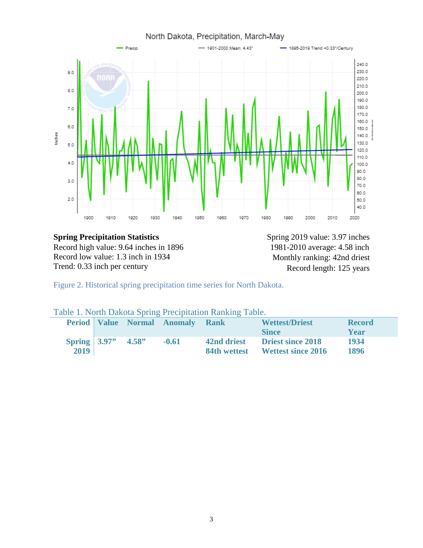

#### **Spring Precipitation Statistics** Spring 2019 value: 3.97 inches Record high value: 9.64 inches in 1896 Record low value: 1.3 inch in 1934 Trend: 0.33 inch per century

1981-2010 average: 4.58 inch Monthly ranking: 42nd driest Record length: 125 years

Figure 2. Historical spring precipitation time series for North Dakota.

|  | Table 1. North Dakota Spring Precipitation Ranking Table. |
|--|-----------------------------------------------------------|
|--|-----------------------------------------------------------|

|                 |       | <b>Period Value Normal Anomaly</b> | <b>Rank</b>  | <b>Wettest/Driest</b>     | <b>Record</b> |
|-----------------|-------|------------------------------------|--------------|---------------------------|---------------|
|                 |       |                                    |              | <b>Since</b>              | Year          |
| Spring $ 3.97"$ | 4.58" | $-0.61$                            | 42nd driest  | <b>Driest since 2018</b>  | 1934          |
| 2019            |       |                                    | 84th wettest | <b>Wettest since 2016</b> | 1896          |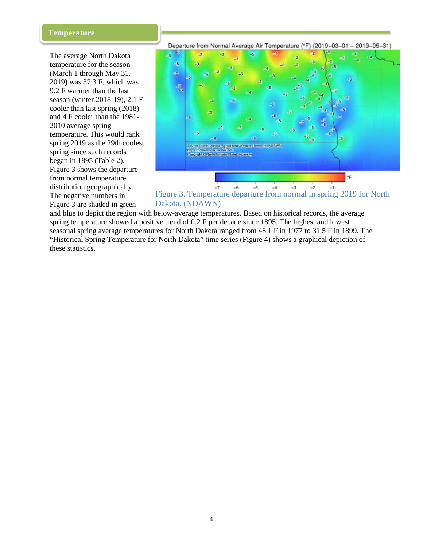#### **Temperature**

The average North Dakota temperature for the season (March 1 through May 31, 2019) was 37.3 F, which was 9.2 F warmer than the last season (winter 2018-19), 2.1 F cooler than last spring (2018) and 4 F cooler than the 1981- 2010 average spring temperature. This would rank spring 2019 as the 29th coolest spring since such records began in 1895 (Table 2). Figure 3 shows the departure from normal temperature distribution geographically. The negative numbers in Figure 3 are shaded in green

Departure from Normal Average Air Temperature (°F) (2019-03-01 - 2019-05-31)



Figure 3. Temperature departure from normal in spring 2019 for North Dakota. (NDAWN)

and blue to depict the region with below-average temperatures. Based on historical records, the average spring temperature showed a positive trend of 0.2 F per decade since 1895. The highest and lowest seasonal spring average temperatures for North Dakota ranged from 48.1 F in 1977 to 31.5 F in 1899. The "Historical Spring Temperature for North Dakota" time series (Figure 4) shows a graphical depiction of these statistics.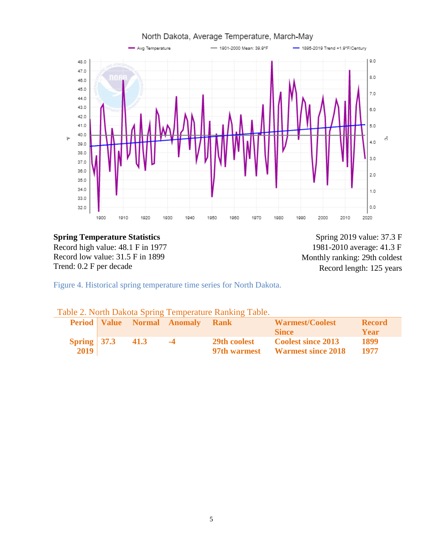

### **Spring Temperature Statistics** Spring 2019 value: 37.3 F

Record high value: 48.1 F in 1977 Record low value: 31.5 F in 1899 Trend: 0.2 F per decade

1981-2010 average: 41.3 F Monthly ranking: 29th coldest Record length: 125 years

Figure 4. Historical spring temperature time series for North Dakota.

| Table 2. North Dakota Spring Temperature Ranking Table. |  |  |
|---------------------------------------------------------|--|--|
|---------------------------------------------------------|--|--|

|                 |      | Period Value Normal Anomaly Rank |                     | <b>Warmest/Coolest</b>          | <b>Record</b> |
|-----------------|------|----------------------------------|---------------------|---------------------------------|---------------|
|                 |      |                                  |                     | -Since -                        | Year          |
| Spring $ 37.3 $ | 41.3 | $-4$                             | <b>29th coolest</b> | <b>Coolest since 2013</b>       | 1899          |
| 2019            |      |                                  |                     | 97th warmest Warmest since 2018 | 1977          |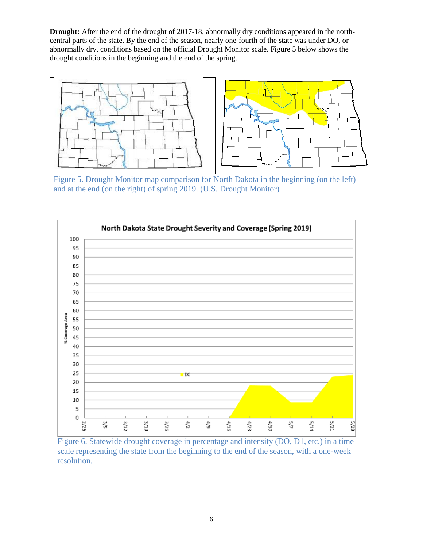**Drought:** After the end of the drought of 2017-18, abnormally dry conditions appeared in the northcentral parts of the state. By the end of the season, nearly one-fourth of the state was under DO, or abnormally dry, conditions based on the official Drought Monitor scale. Figure 5 below shows the drought conditions in the beginning and the end of the spring.



Figure 5. Drought Monitor map comparison for North Dakota in the beginning (on the left) and at the end (on the right) of spring 2019. (U.S. Drought Monitor)



Figure 6. Statewide drought coverage in percentage and intensity (DO, D1, etc.) in a time scale representing the state from the beginning to the end of the season, with a one-week resolution.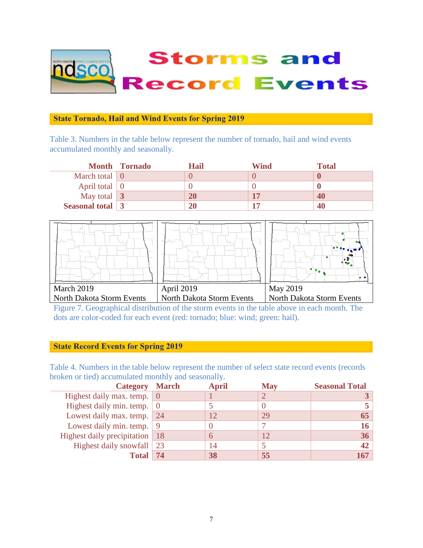

#### **State Tornado, Hail and Wind Events for Spring 2019**

Table 3. Numbers in the table below represent the number of tornado, hail and wind events accumulated monthly and seasonally.

|                             | <b>Month Tornado</b> | Hail | Wind | <b>Total</b> |
|-----------------------------|----------------------|------|------|--------------|
| March total $\vert 0 \vert$ |                      |      |      |              |
| April total $\vert 0 \vert$ |                      |      |      |              |
| May total $\boxed{3}$       |                      | 20   |      | 40           |
| Seasonal total $\boxed{3}$  |                      |      |      | 41           |



Figure 7. Geographical distribution of the storm events in the table above in each month. The dots are color-coded for each event (red: tornado; blue: wind; green: hail).

#### **State Record Events for Spring 2019**

Table 4. Numbers in the table below represent the number of select state record events (records broken or tied) accumulated monthly and seasonally.

| <b>Category March</b>                    |    | <b>April</b> | <b>May</b> | <b>Seasonal Total</b> |
|------------------------------------------|----|--------------|------------|-----------------------|
| Highest daily max. temp. $\vert 0 \vert$ |    |              |            |                       |
| Highest daily min. temp. $\vert 0 \vert$ |    |              |            |                       |
| Lowest daily max. temp. 24               |    |              | 29         |                       |
| Lowest daily min. temp. $\vert 9 \vert$  |    |              |            |                       |
| Highest daily precipitation   18         |    | h            |            | 36 <sub>1</sub>       |
| Highest daily snowfall 23                |    |              |            | 42                    |
| <b>Total</b>                             | 74 | 38           | 55         |                       |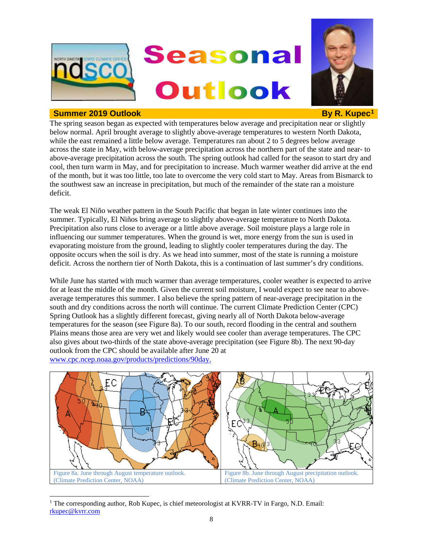

#### **Summer 2019 Outlook By R. Kupec[1](#page-7-0)**



The spring season began as expected with temperatures below average and precipitation near or slightly below normal. April brought average to slightly above-average temperatures to western North Dakota, while the east remained a little below average. Temperatures ran about 2 to 5 degrees below average across the state in May, with below-average precipitation across the northern part of the state and near- to above-average precipitation across the south. The spring outlook had called for the season to start dry and cool, then turn warm in May, and for precipitation to increase. Much warmer weather did arrive at the end of the month, but it was too little, too late to overcome the very cold start to May. Areas from Bismarck to the southwest saw an increase in precipitation, but much of the remainder of the state ran a moisture deficit.

The weak El Niño weather pattern in the South Pacific that began in late winter continues into the summer. Typically, El Niños bring average to slightly above-average temperature to North Dakota. Precipitation also runs close to average or a little above average. Soil moisture plays a large role in influencing our summer temperatures. When the ground is wet, more energy from the sun is used in evaporating moisture from the ground, leading to slightly cooler temperatures during the day. The opposite occurs when the soil is dry. As we head into summer, most of the state is running a moisture deficit. Across the northern tier of North Dakota, this is a continuation of last summer's dry conditions.

While June has started with much warmer than average temperatures, cooler weather is expected to arrive for at least the middle of the month. Given the current soil moisture, I would expect to see near to aboveaverage temperatures this summer. I also believe the spring pattern of near-average precipitation in the south and dry conditions across the north will continue. The current Climate Prediction Center (CPC) Spring Outlook has a slightly different forecast, giving nearly all of North Dakota below-average temperatures for the season (see Figure 8a). To our south, record flooding in the central and southern Plains means those area are very wet and likely would see cooler than average temperatures. The CPC also gives about two-thirds of the state above-average precipitation (see Figure 8b). The next 90-day outlook from the CPC should be available after June 20 at www.cpc.ncep.noaa.gov/products/predictions/90day.



<span id="page-7-0"></span><sup>&</sup>lt;sup>1</sup> The corresponding author, Rob Kupec, is chief meteorologist at KVRR-TV in Fargo, N.D. Email: [rkupec@kvrr.com](mailto:rkupec@kvrr.com)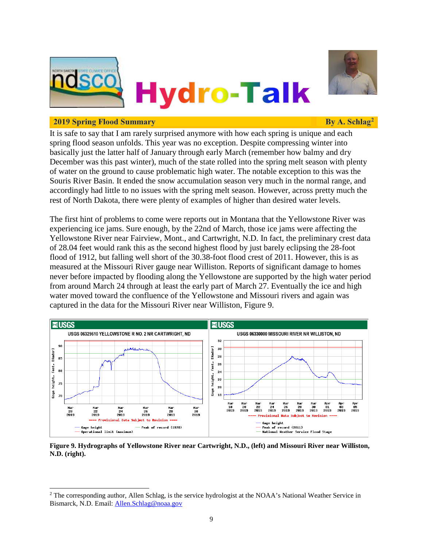



#### **2019 Spring Flood Summary**

By A. Schlag<sup>2</sup>

It is safe to say that I am rarely surprised anymore with how each spring is unique and each spring flood season unfolds. This year was no exception. Despite compressing winter into basically just the latter half of January through early March (remember how balmy and dry December was this past winter), much of the state rolled into the spring melt season with plenty of water on the ground to cause problematic high water. The notable exception to this was the Souris River Basin. It ended the snow accumulation season very much in the normal range, and accordingly had little to no issues with the spring melt season. However, across pretty much the rest of North Dakota, there were plenty of examples of higher than desired water levels.

The first hint of problems to come were reports out in Montana that the Yellowstone River was experiencing ice jams. Sure enough, by the 22nd of March, those ice jams were affecting the Yellowstone River near Fairview, Mont., and Cartwright, N.D. In fact, the preliminary crest data of 28.04 feet would rank this as the second highest flood by just barely eclipsing the 28-foot flood of 1912, but falling well short of the 30.38-foot flood crest of 2011. However, this is as measured at the Missouri River gauge near Williston. Reports of significant damage to homes never before impacted by flooding along the Yellowstone are supported by the high water period from around March 24 through at least the early part of March 27. Eventually the ice and high water moved toward the confluence of the Yellowstone and Missouri rivers and again was captured in the data for the Missouri River near Williston, Figure 9.



**Figure 9. Hydrographs of Yellowstone River near Cartwright, N.D., (left) and Missouri River near Williston, N.D. (right).**

<sup>&</sup>lt;sup>2</sup> The corresponding author, Allen Schlag, is the service hydrologist at the NOAA's National Weather Service in Bismarck, N.D. Email: [Allen.Schlag@noaa.gov](mailto:Allen.Schlag@noaa.gov)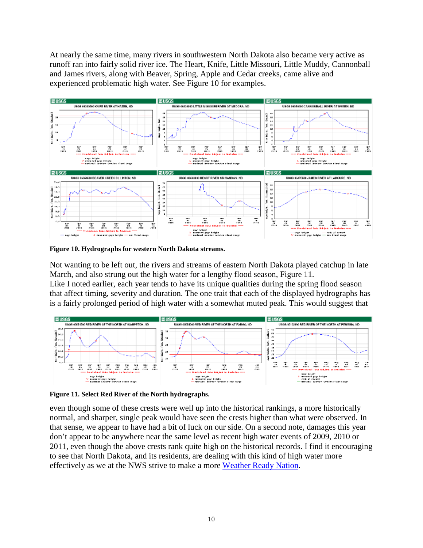At nearly the same time, many rivers in southwestern North Dakota also became very active as runoff ran into fairly solid river ice. The Heart, Knife, Little Missouri, Little Muddy, Cannonball and James rivers, along with Beaver, Spring, Apple and Cedar creeks, came alive and experienced problematic high water. See Figure 10 for examples.



**Figure 10. Hydrographs for western North Dakota streams.**

Not wanting to be left out, the rivers and streams of eastern North Dakota played catchup in late March, and also strung out the high water for a lengthy flood season, Figure 11. Like I noted earlier, each year tends to have its unique qualities during the spring flood season that affect timing, severity and duration. The one trait that each of the displayed hydrographs has is a fairly prolonged period of high water with a somewhat muted peak. This would suggest that



**Figure 11. Select Red River of the North hydrographs.**

even though some of these crests were well up into the historical rankings, a more historically normal, and sharper, single peak would have seen the crests higher than what were observed. In that sense, we appear to have had a bit of luck on our side. On a second note, damages this year don't appear to be anywhere near the same level as recent high water events of 2009, 2010 or 2011, even though the above crests rank quite high on the historical records. I find it encouraging to see that North Dakota, and its residents, are dealing with this kind of high water more effectively as we at the NWS strive to make a more [Weather Ready Nation.](https://www.weather.gov/wrn/)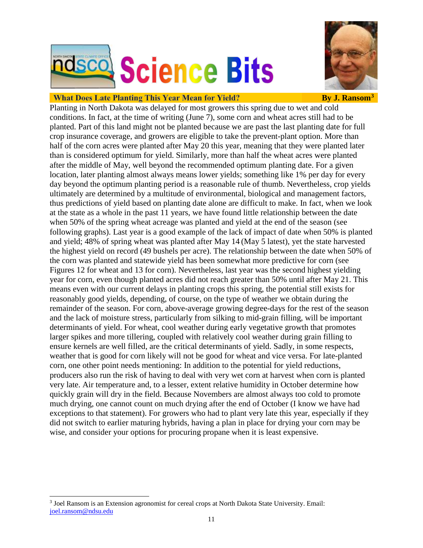



#### **What Does Late Planting This Year Mean for Yield?**

**By J. Ransom**<sup>3</sup>

Planting in North Dakota was delayed for most growers this spring due to wet and cold conditions. In fact, at the time of writing (June 7), some corn and wheat acres still had to be planted. Part of this land might not be planted because we are past the last planting date for full crop insurance coverage, and growers are eligible to take the prevent-plant option. More than half of the corn acres were planted after May 20 this year, meaning that they were planted later than is considered optimum for yield. Similarly, more than half the wheat acres were planted after the middle of May, well beyond the recommended optimum planting date. For a given location, later planting almost always means lower yields; something like 1% per day for every day beyond the optimum planting period is a reasonable rule of thumb. Nevertheless, crop yields ultimately are determined by a multitude of environmental, biological and management factors, thus predictions of yield based on planting date alone are difficult to make. In fact, when we look at the state as a whole in the past 11 years, we have found little relationship between the date when 50% of the spring wheat acreage was planted and yield at the end of the season (see following graphs). Last year is a good example of the lack of impact of date when 50% is planted and yield; 48% of spring wheat was planted after May 14 (May 5 latest), yet the state harvested the highest yield on record (49 bushels per acre). The relationship between the date when 50% of the corn was planted and statewide yield has been somewhat more predictive for corn (see Figures 12 for wheat and 13 for corn). Nevertheless, last year was the second highest yielding year for corn, even though planted acres did not reach greater than 50% until after May 21. This means even with our current delays in planting crops this spring, the potential still exists for reasonably good yields, depending, of course, on the type of weather we obtain during the remainder of the season. For corn, above-average growing degree-days for the rest of the season and the lack of moisture stress, particularly from silking to mid-grain filling, will be important determinants of yield. For wheat, cool weather during early vegetative growth that promotes larger spikes and more tillering, coupled with relatively cool weather during grain filling to ensure kernels are well filled, are the critical determinants of yield. Sadly, in some respects, weather that is good for corn likely will not be good for wheat and vice versa. For late-planted corn, one other point needs mentioning: In addition to the potential for yield reductions, producers also run the risk of having to deal with very wet corn at harvest when corn is planted very late. Air temperature and, to a lesser, extent relative humidity in October determine how quickly grain will dry in the field. Because Novembers are almost always too cold to promote much drying, one cannot count on much drying after the end of October (I know we have had exceptions to that statement). For growers who had to plant very late this year, especially if they did not switch to earlier maturing hybrids, having a plan in place for drying your corn may be wise, and consider your options for procuring propane when it is least expensive.

<span id="page-10-0"></span> <sup>3</sup> Joel Ransom is an Extension agronomist for cereal crops at North Dakota State University. Email: [joel.ransom@ndsu.edu](mailto:joel.ransom@ndsu.edu)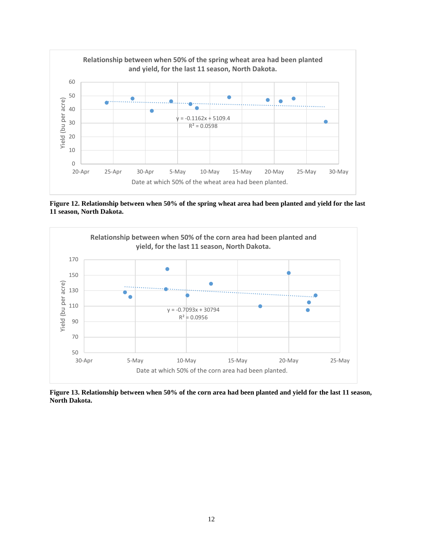

**Figure 12. Relationship between when 50% of the spring wheat area had been planted and yield for the last 11 season, North Dakota.**



**Figure 13. Relationship between when 50% of the corn area had been planted and yield for the last 11 season, North Dakota.**